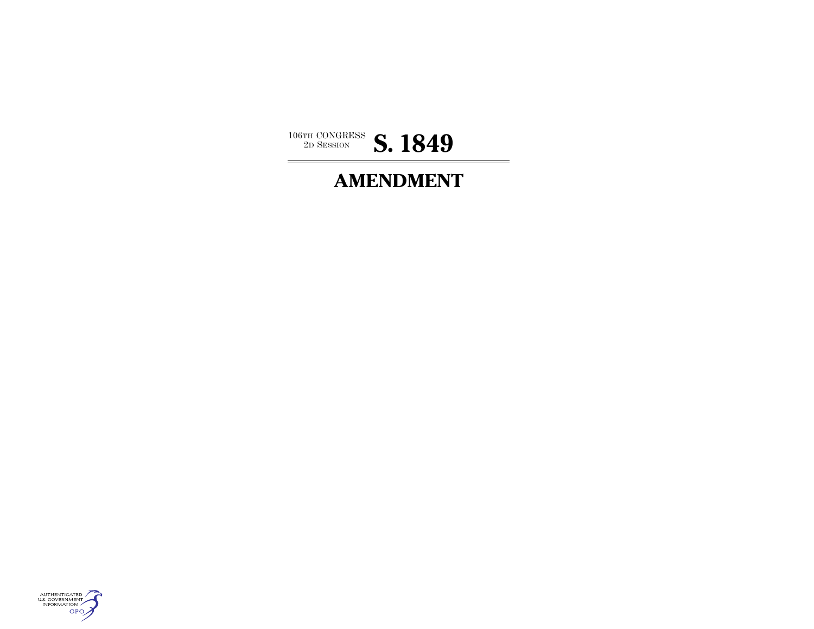

# **AMENDMENT**

÷,

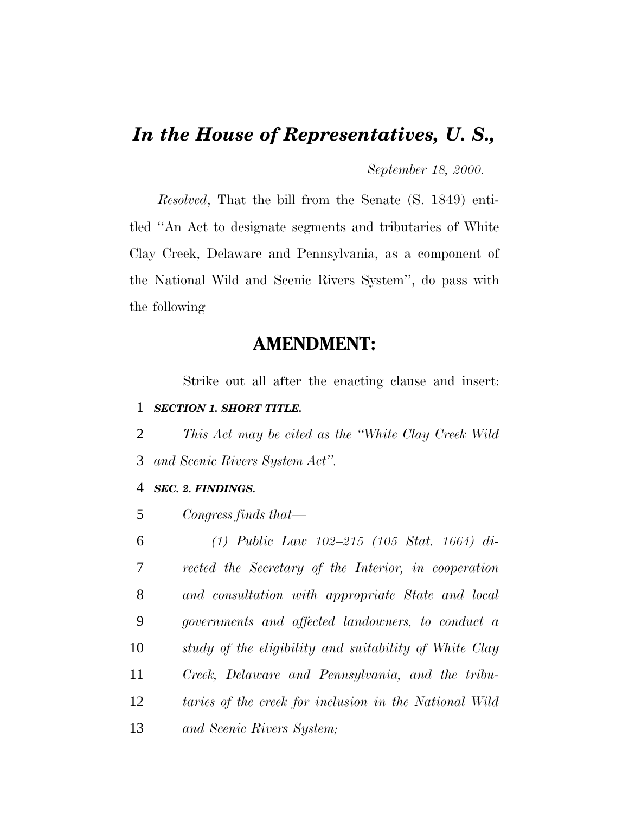# *In the House of Representatives, U. S.,*

*September 18, 2000.*

*Resolved*, That the bill from the Senate (S. 1849) entitled ''An Act to designate segments and tributaries of White Clay Creek, Delaware and Pennsylvania, as a component of the National Wild and Scenic Rivers System'', do pass with the following

## **AMENDMENT:**

Strike out all after the enacting clause and insert: 1 *SECTION 1. SHORT TITLE.*

2 *This Act may be cited as the ''White Clay Creek Wild* 3 *and Scenic Rivers System Act''.*

### 4 *SEC. 2. FINDINGS.*

5 *Congress finds that—*

 *(1) Public Law 102–215 (105 Stat. 1664) di- rected the Secretary of the Interior, in cooperation and consultation with appropriate State and local governments and affected landowners, to conduct a study of the eligibility and suitability of White Clay Creek, Delaware and Pennsylvania, and the tribu- taries of the creek for inclusion in the National Wild and Scenic Rivers System;*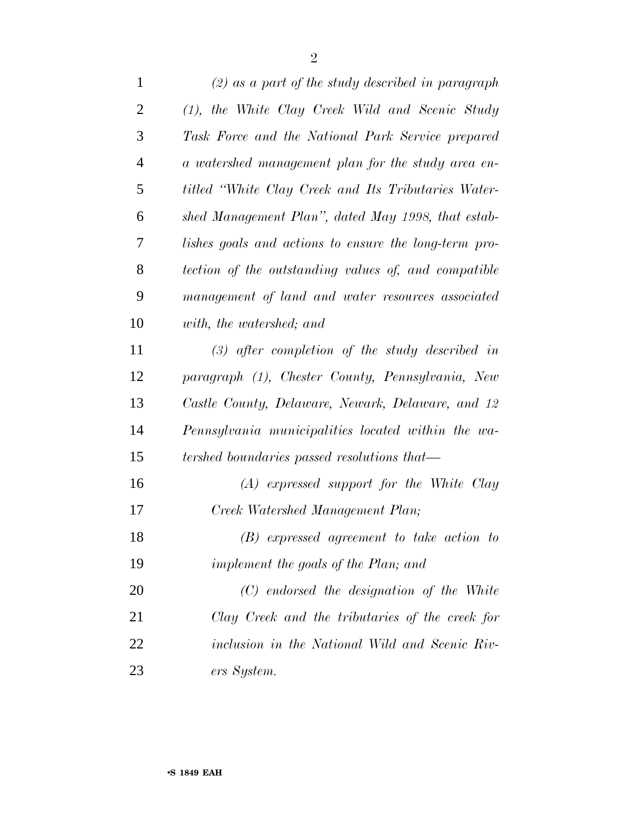| $\mathbf{1}$   | $(2)$ as a part of the study described in paragraph   |
|----------------|-------------------------------------------------------|
| $\overline{2}$ | (1), the White Clay Creek Wild and Scenic Study       |
| 3              | Task Force and the National Park Service prepared     |
| $\overline{4}$ | a watershed management plan for the study area en-    |
| 5              | titled "White Clay Creek and Its Tributaries Water-   |
| 6              | shed Management Plan", dated May 1998, that estab-    |
| 7              | lishes goals and actions to ensure the long-term pro- |
| 8              | tection of the outstanding values of, and compatible  |
| 9              | management of land and water resources associated     |
| 10             | with, the watershed; and                              |
| 11             | $(3)$ after completion of the study described in      |
| 12             | paragraph (1), Chester County, Pennsylvania, New      |
| 13             | Castle County, Delaware, Newark, Delaware, and 12     |
| 14             | Pennsylvania municipalities located within the wa-    |
| 15             | tershed boundaries passed resolutions that—           |
| 16             | $(A)$ expressed support for the White Clay            |
| 17             | Creek Watershed Management Plan;                      |
| 18             | $(B)$ expressed agreement to take action to           |
| 19             | implement the goals of the Plan; and                  |
| 20             | $(C)$ endorsed the designation of the White           |
| 21             | Clay Creek and the tributaries of the creek for       |
| 22             | inclusion in the National Wild and Scenic Riv-        |
| 23             | ers System.                                           |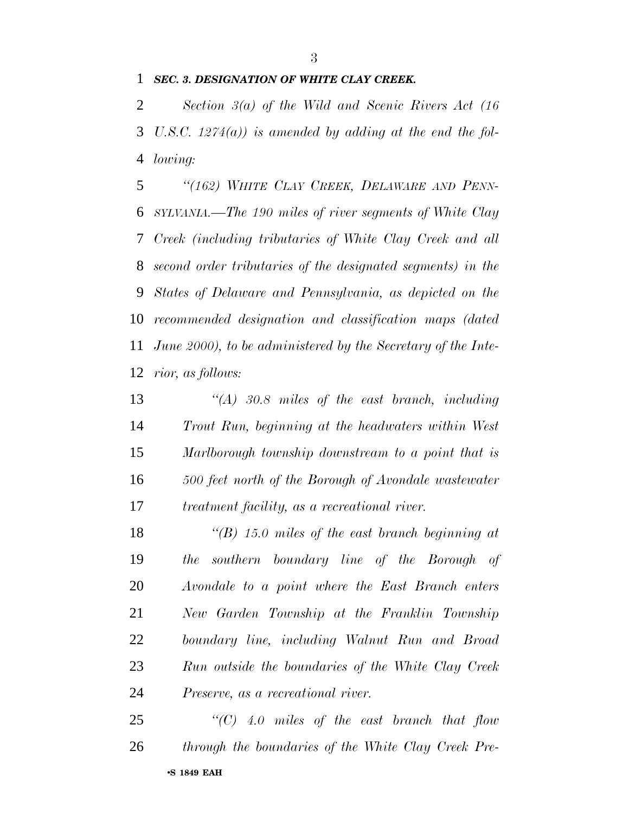#### *SEC. 3. DESIGNATION OF WHITE CLAY CREEK.*

 *Section 3(a) of the Wild and Scenic Rivers Act (16 U.S.C. 1274(a)) is amended by adding at the end the fol-lowing:*

 *''(162) WHITE CLAY CREEK, DELAWARE AND PENN- SYLVANIA.—The 190 miles of river segments of White Clay Creek (including tributaries of White Clay Creek and all second order tributaries of the designated segments) in the States of Delaware and Pennsylvania, as depicted on the recommended designation and classification maps (dated June 2000), to be administered by the Secretary of the Inte-rior, as follows:*

 *''(A) 30.8 miles of the east branch, including Trout Run, beginning at the headwaters within West Marlborough township downstream to a point that is 500 feet north of the Borough of Avondale wastewater treatment facility, as a recreational river.*

 *''(B) 15.0 miles of the east branch beginning at the southern boundary line of the Borough of Avondale to a point where the East Branch enters New Garden Township at the Franklin Township boundary line, including Walnut Run and Broad Run outside the boundaries of the White Clay Creek Preserve, as a recreational river.*

•**S 1849 EAH** *''(C) 4.0 miles of the east branch that flow through the boundaries of the White Clay Creek Pre-*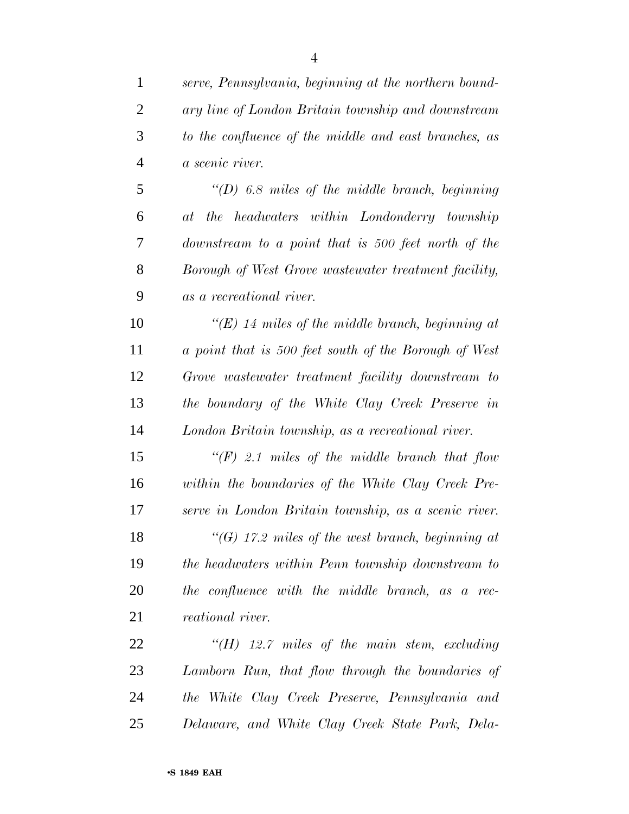| $\mathbf{1}$   | serve, Pennsylvania, beginning at the northern bound-   |
|----------------|---------------------------------------------------------|
| $\overline{2}$ | ary line of London Britain township and downstream      |
| 3              | to the confluence of the middle and east branches, as   |
| $\overline{4}$ | a scenic river.                                         |
| 5              | $\lq (D)$ 6.8 miles of the middle branch, beginning     |
| 6              | at the headwaters within Londonderry township           |
| 7              | downstream to a point that is 500 feet north of the     |
| 8              | Borough of West Grove wastewater treatment facility,    |
| 9              | as a recreational river.                                |
| 10             | " $(E)$ 14 miles of the middle branch, beginning at     |
| 11             | a point that is 500 feet south of the Borough of West   |
| 12             | Grove wastewater treatment facility downstream to       |
| 13             | the boundary of the White Clay Creek Preserve in        |
| 14             | London Britain township, as a recreational river.       |
| 15             | $\lq (F)$ 2.1 miles of the middle branch that flow      |
| 16             | within the boundaries of the White Clay Creek Pre-      |
| 17             | serve in London Britain township, as a scenic river.    |
| 18             | $\lq\lq(G)$ 17.2 miles of the west branch, beginning at |
| 19             | the headwaters within Penn township downstream to       |
| 20             | the confluence with the middle branch, as a rec-        |
| 21             | <i>reational</i> river.                                 |
| 22             | $H(H)$ 12.7 miles of the main stem, excluding           |
| 23             | Lamborn Run, that flow through the boundaries of        |
| 24             | the White Clay Creek Preserve, Pennsylvania and         |
| 25             | Delaware, and White Clay Creek State Park, Dela-        |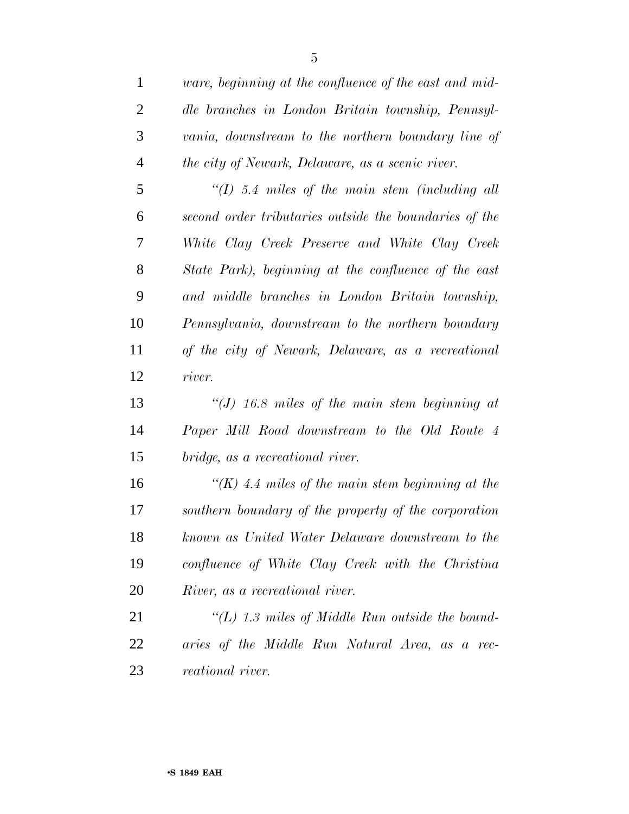| 1              | <i>ware, beginning at the confluence of the east and mid-</i> |
|----------------|---------------------------------------------------------------|
| $\overline{2}$ | dle branches in London Britain township, Pennsyl-             |
| 3              | vania, downstream to the northern boundary line of            |
| $\overline{4}$ | the city of Newark, Delaware, as a scenic river.              |
| 5              | $\lq (I)$ 5.4 miles of the main stem (including all           |
| 6              | second order tributaries outside the boundaries of the        |
| 7              | White Clay Creek Preserve and White Clay Creek                |
| 8              | State Park), beginning at the confluence of the east          |
| 9              | and middle branches in London Britain township,               |
| 10             | Pennsylvania, downstream to the northern boundary             |
| 11             | of the city of Newark, Delaware, as a recreational            |
| 12             | river.                                                        |
| 13             | "(J) 16.8 miles of the main stem beginning at                 |
| 14             | Paper Mill Road downstream to the Old Route 4                 |
| 15             | bridge, as a recreational river.                              |
| 16             | $\lq (K)$ 4.4 miles of the main stem beginning at the         |
| 17             | southern boundary of the property of the corporation          |
| 18             | known as United Water Delaware downstream to the              |
| 19             | confluence of White Clay Creek with the Christina             |
| 20             | River, as a recreational river.                               |
| 21             | "(L) 1.3 miles of Middle Run outside the bound-               |
| 22             | aries of the Middle Run Natural Area, as a rec-               |
| 23             | reational river.                                              |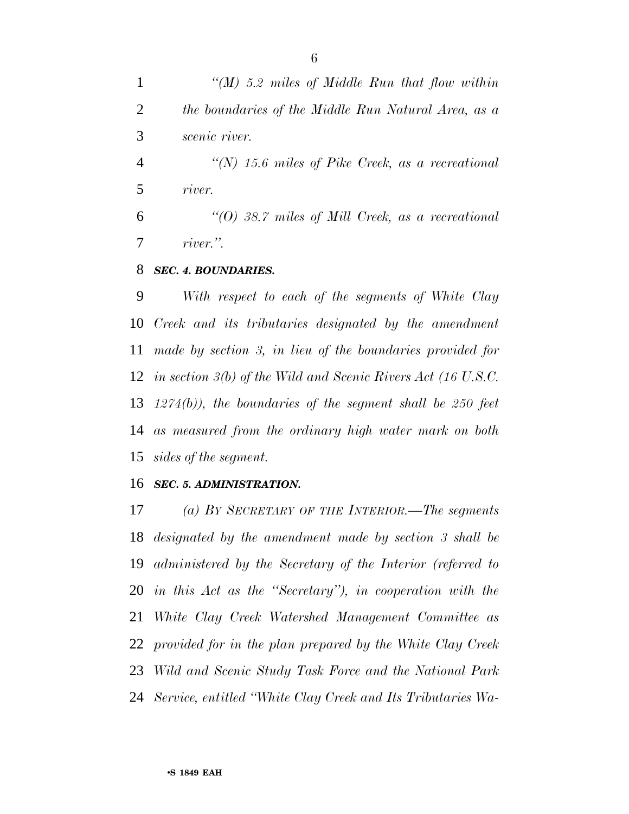*''(M) 5.2 miles of Middle Run that flow within the boundaries of the Middle Run Natural Area, as a scenic river. ''(N) 15.6 miles of Pike Creek, as a recreational river. ''(O) 38.7 miles of Mill Creek, as a recreational river.''.*

#### *SEC. 4. BOUNDARIES.*

 *With respect to each of the segments of White Clay Creek and its tributaries designated by the amendment made by section 3, in lieu of the boundaries provided for in section 3(b) of the Wild and Scenic Rivers Act (16 U.S.C. 1274(b)), the boundaries of the segment shall be 250 feet as measured from the ordinary high water mark on both sides of the segment.*

#### *SEC. 5. ADMINISTRATION.*

 *(a) BY SECRETARY OF THE INTERIOR.—The segments designated by the amendment made by section 3 shall be administered by the Secretary of the Interior (referred to in this Act as the ''Secretary''), in cooperation with the White Clay Creek Watershed Management Committee as provided for in the plan prepared by the White Clay Creek Wild and Scenic Study Task Force and the National Park Service, entitled ''White Clay Creek and Its Tributaries Wa-*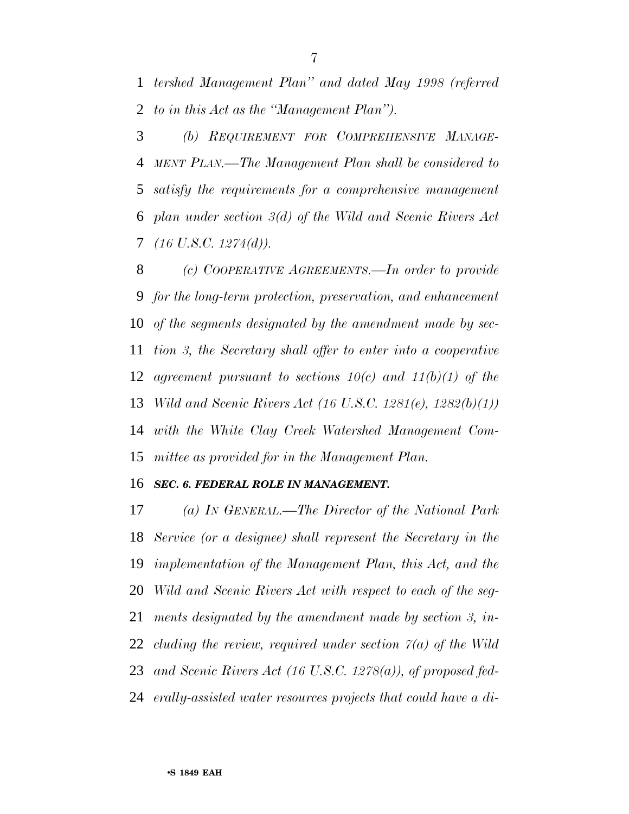*tershed Management Plan'' and dated May 1998 (referred to in this Act as the ''Management Plan'').*

 *(b) REQUIREMENT FOR COMPREHENSIVE MANAGE- MENT PLAN.—The Management Plan shall be considered to satisfy the requirements for a comprehensive management plan under section 3(d) of the Wild and Scenic Rivers Act (16 U.S.C. 1274(d)).*

 *(c) COOPERATIVE AGREEMENTS.—In order to provide for the long-term protection, preservation, and enhancement of the segments designated by the amendment made by sec- tion 3, the Secretary shall offer to enter into a cooperative agreement pursuant to sections 10(c) and 11(b)(1) of the Wild and Scenic Rivers Act (16 U.S.C. 1281(e), 1282(b)(1)) with the White Clay Creek Watershed Management Com-mittee as provided for in the Management Plan.*

#### *SEC. 6. FEDERAL ROLE IN MANAGEMENT.*

 *(a) IN GENERAL.—The Director of the National Park Service (or a designee) shall represent the Secretary in the implementation of the Management Plan, this Act, and the Wild and Scenic Rivers Act with respect to each of the seg- ments designated by the amendment made by section 3, in- cluding the review, required under section 7(a) of the Wild and Scenic Rivers Act (16 U.S.C. 1278(a)), of proposed fed-erally-assisted water resources projects that could have a di-*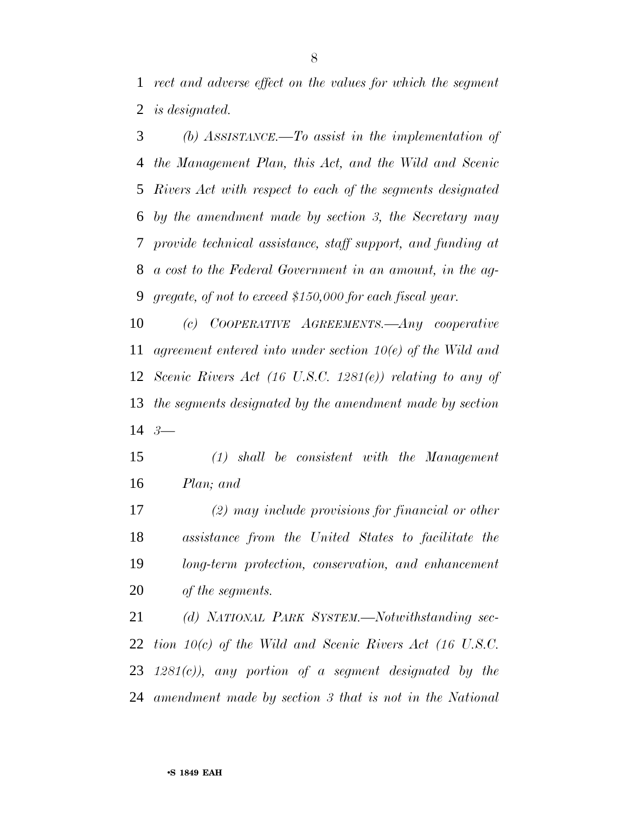*rect and adverse effect on the values for which the segment is designated.*

 *(b) ASSISTANCE.—To assist in the implementation of the Management Plan, this Act, and the Wild and Scenic Rivers Act with respect to each of the segments designated by the amendment made by section 3, the Secretary may provide technical assistance, staff support, and funding at a cost to the Federal Government in an amount, in the ag-gregate, of not to exceed \$150,000 for each fiscal year.*

 *(c) COOPERATIVE AGREEMENTS.—Any cooperative agreement entered into under section 10(e) of the Wild and Scenic Rivers Act (16 U.S.C. 1281(e)) relating to any of the segments designated by the amendment made by section 3—*

 *(1) shall be consistent with the Management Plan; and*

 *(2) may include provisions for financial or other assistance from the United States to facilitate the long-term protection, conservation, and enhancement of the segments.*

 *(d) NATIONAL PARK SYSTEM.—Notwithstanding sec- tion 10(c) of the Wild and Scenic Rivers Act (16 U.S.C. 1281(c)), any portion of a segment designated by the amendment made by section 3 that is not in the National*